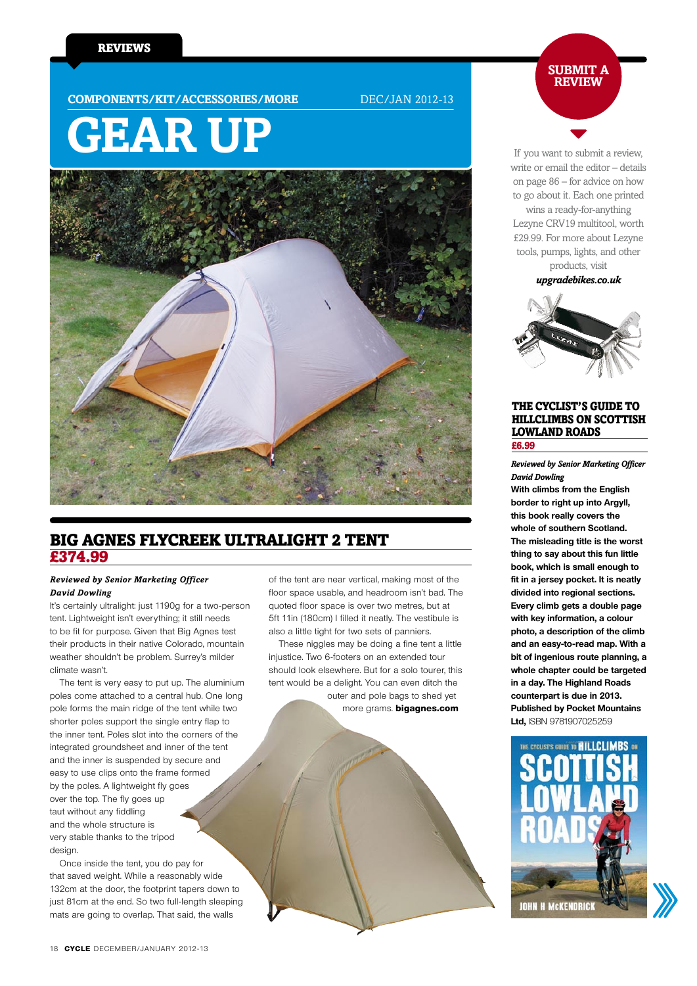**COMPONENTS/KIT/ACCESSORIES/MORE** DEC/JAN 2012-13

# **gear up**



# Big Agnes Flycreek Ultralight 2 tent £374.99

#### *Reviewed by Senior Marketing Officer David Dowling*

It's certainly ultralight: just 1190g for a two-person tent. Lightweight isn't everything; it still needs to be fit for purpose. Given that Big Agnes test their products in their native Colorado, mountain weather shouldn't be problem. Surrey's milder climate wasn't.

The tent is very easy to put up. The aluminium poles come attached to a central hub. One long pole forms the main ridge of the tent while two shorter poles support the single entry flap to the inner tent. Poles slot into the corners of the integrated groundsheet and inner of the tent and the inner is suspended by secure and easy to use clips onto the frame formed by the poles. A lightweight fly goes over the top. The fly goes up taut without any fiddling and the whole structure is very stable thanks to the tripod design.

Once inside the tent, you do pay for that saved weight. While a reasonably wide 132cm at the door, the footprint tapers down to just 81cm at the end. So two full-length sleeping mats are going to overlap. That said, the walls

of the tent are near vertical, making most of the floor space usable, and headroom isn't bad. The quoted floor space is over two metres, but at 5ft 11in (180cm) I filled it neatly. The vestibule is also a little tight for two sets of panniers.

These niggles may be doing a fine tent a little injustice. Two 6-footers on an extended tour should look elsewhere. But for a solo tourer, this tent would be a delight. You can even ditch the outer and pole bags to shed yet

more grams. **bigagnes.com** 



If you want to submit a review, write or email the editor – details on page 86 – for advice on how to go about it. Each one printed

wins a ready-for-anything Lezyne CRV19 multitool, worth £29.99. For more about Lezyne tools, pumps, lights, and other products, visit

*upgradebikes.co.uk*



#### The Cyclist's Guide to Hillclimbs on Scottish Lowland Roads £6.99

*Reviewed by Senior Marketing Officer David Dowling*

**With climbs from the English border to right up into Argyll, this book really covers the whole of southern Scotland. The misleading title is the worst thing to say about this fun little book, which is small enough to fit in a jersey pocket. It is neatly divided into regional sections. Every climb gets a double page with key information, a colour photo, a description of the climb and an easy-to-read map. With a bit of ingenious route planning, a whole chapter could be targeted in a day. The Highland Roads counterpart is due in 2013. Published by Pocket Mountains Ltd,** ISBN 9781907025259

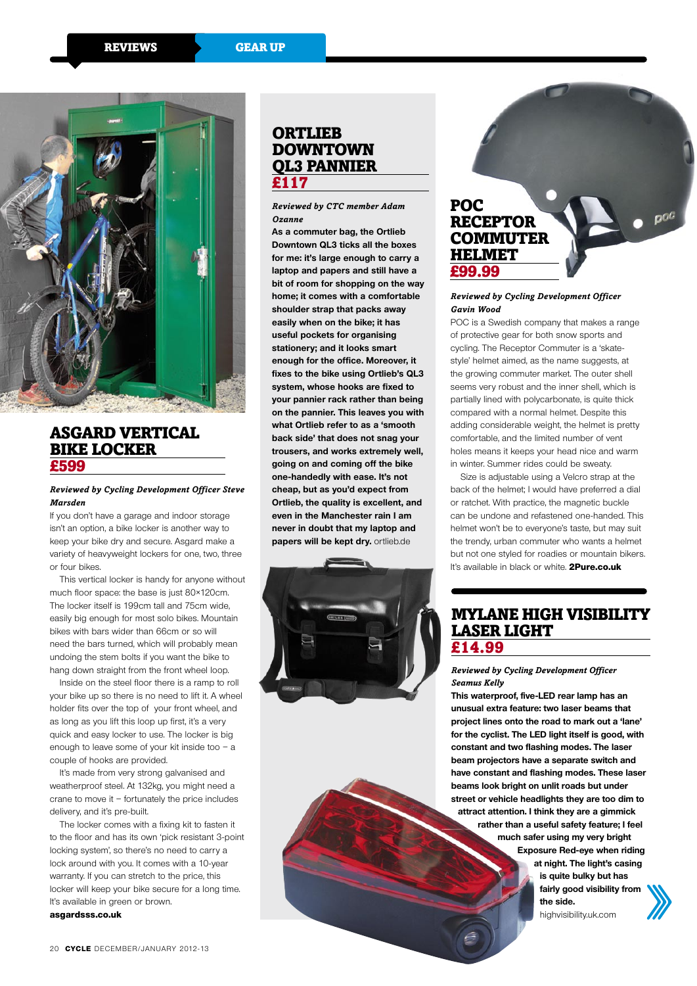

# Asgard Vertical Bike Locker £599

#### *Reviewed by Cycling Development Officer Steve Marsden*

If you don't have a garage and indoor storage isn't an option, a bike locker is another way to keep your bike dry and secure. Asgard make a variety of heavyweight lockers for one, two, three or four bikes.

This vertical locker is handy for anyone without much floor space: the base is just 80×120cm. The locker itself is 199cm tall and 75cm wide, easily big enough for most solo bikes. Mountain bikes with bars wider than 66cm or so will need the bars turned, which will probably mean undoing the stem bolts if you want the bike to hang down straight from the front wheel loop.

Inside on the steel floor there is a ramp to roll your bike up so there is no need to lift it. A wheel holder fits over the top of your front wheel, and as long as you lift this loop up first, it's a very quick and easy locker to use. The locker is big enough to leave some of your kit inside too – a couple of hooks are provided.

It's made from very strong galvanised and weatherproof steel. At 132kg, you might need a crane to move it – fortunately the price includes delivery, and it's pre-built.

The locker comes with a fixing kit to fasten it to the floor and has its own 'pick resistant 3-point locking system', so there's no need to carry a lock around with you. It comes with a 10-year warranty. If you can stretch to the price, this locker will keep your bike secure for a long time. It's available in green or brown. **asgardsss.co.uk**

## **ORTLIEB DOWNTOWN** QL3 pannier £117

*Reviewed by CTC member Adam Ozanne*

**As a commuter bag, the Ortlieb Downtown QL3 ticks all the boxes for me: it's large enough to carry a laptop and papers and still have a bit of room for shopping on the way home; it comes with a comfortable shoulder strap that packs away easily when on the bike; it has useful pockets for organising stationery; and it looks smart enough for the office. Moreover, it fixes to the bike using Ortlieb's QL3 system, whose hooks are fixed to your pannier rack rather than being on the pannier. This leaves you with what Ortlieb refer to as a 'smooth back side' that does not snag your trousers, and works extremely well, going on and coming off the bike one-handedly with ease. It's not cheap, but as you'd expect from Ortlieb, the quality is excellent, and even in the Manchester rain I am never in doubt that my laptop and papers will be kept dry.** ortlieb.de



# POC **RECEPTOR COMMUTER HELMET** £99.99

#### *Reviewed by Cycling Development Officer Gavin Wood*

POC is a Swedish company that makes a range of protective gear for both snow sports and cycling. The Receptor Commuter is a 'skatestyle' helmet aimed, as the name suggests, at the growing commuter market. The outer shell seems very robust and the inner shell, which is partially lined with polycarbonate, is quite thick compared with a normal helmet. Despite this adding considerable weight, the helmet is pretty comfortable, and the limited number of vent holes means it keeps your head nice and warm in winter. Summer rides could be sweaty.

Size is adjustable using a Velcro strap at the back of the helmet; I would have preferred a dial or ratchet. With practice, the magnetic buckle can be undone and refastened one-handed. This helmet won't be to everyone's taste, but may suit the trendy, urban commuter who wants a helmet but not one styled for roadies or mountain bikers. It's available in black or white. **2Pure.co.uk**

# Mylane High Visibility Laser Light £14.99

*Reviewed by Cycling Development Officer Seamus Kelly*

**This waterproof, five-LED rear lamp has an unusual extra feature: two laser beams that project lines onto the road to mark out a 'lane' for the cyclist. The LED light itself is good, with constant and two flashing modes. The laser beam projectors have a separate switch and have constant and flashing modes. These laser beams look bright on unlit roads but under street or vehicle headlights they are too dim to attract attention. I think they are a gimmick rather than a useful safety feature; I feel much safer using my very bright Exposure Red-eye when riding at night. The light's casing is quite bulky but has fairly good visibility from the side.** 

highvisibility.uk.com